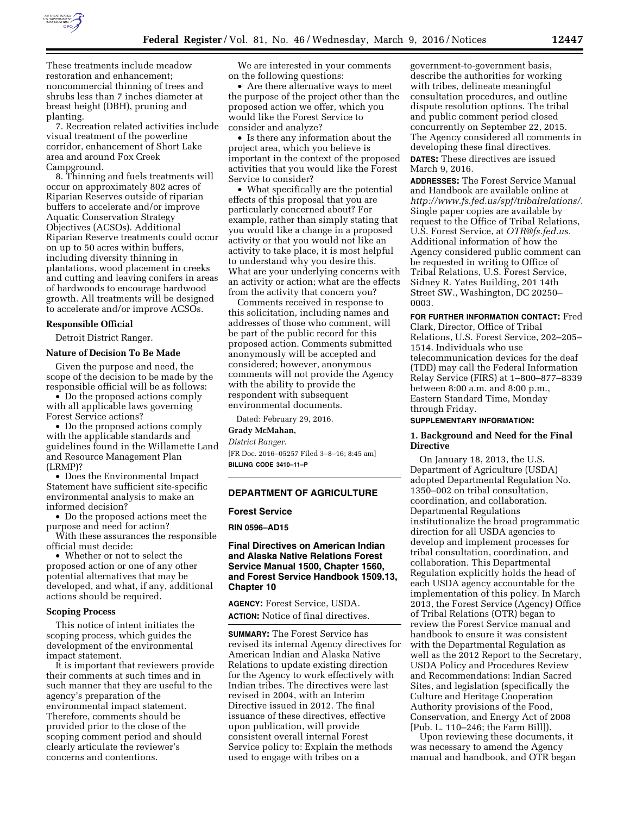

These treatments include meadow restoration and enhancement; noncommercial thinning of trees and shrubs less than 7 inches diameter at breast height (DBH), pruning and planting.

7. Recreation related activities include visual treatment of the powerline corridor, enhancement of Short Lake area and around Fox Creek Campground.

8. Thinning and fuels treatments will occur on approximately 802 acres of Riparian Reserves outside of riparian buffers to accelerate and/or improve Aquatic Conservation Strategy Objectives (ACSOs). Additional Riparian Reserve treatments could occur on up to 50 acres within buffers, including diversity thinning in plantations, wood placement in creeks and cutting and leaving conifers in areas of hardwoods to encourage hardwood growth. All treatments will be designed to accelerate and/or improve ACSOs.

### **Responsible Official**

Detroit District Ranger.

# **Nature of Decision To Be Made**

Given the purpose and need, the scope of the decision to be made by the responsible official will be as follows:

• Do the proposed actions comply with all applicable laws governing Forest Service actions?

• Do the proposed actions comply with the applicable standards and guidelines found in the Willamette Land and Resource Management Plan (LRMP)?

• Does the Environmental Impact Statement have sufficient site-specific environmental analysis to make an informed decision?

• Do the proposed actions meet the purpose and need for action?

With these assurances the responsible official must decide:

• Whether or not to select the proposed action or one of any other potential alternatives that may be developed, and what, if any, additional actions should be required.

## **Scoping Process**

This notice of intent initiates the scoping process, which guides the development of the environmental impact statement.

It is important that reviewers provide their comments at such times and in such manner that they are useful to the agency's preparation of the environmental impact statement. Therefore, comments should be provided prior to the close of the scoping comment period and should clearly articulate the reviewer's concerns and contentions.

We are interested in your comments on the following questions:

• Are there alternative ways to meet the purpose of the project other than the proposed action we offer, which you would like the Forest Service to consider and analyze?

• Is there any information about the project area, which you believe is important in the context of the proposed activities that you would like the Forest Service to consider?

• What specifically are the potential effects of this proposal that you are particularly concerned about? For example, rather than simply stating that you would like a change in a proposed activity or that you would not like an activity to take place, it is most helpful to understand why you desire this. What are your underlying concerns with an activity or action; what are the effects from the activity that concern you?

Comments received in response to this solicitation, including names and addresses of those who comment, will be part of the public record for this proposed action. Comments submitted anonymously will be accepted and considered; however, anonymous comments will not provide the Agency with the ability to provide the respondent with subsequent environmental documents.

Dated: February 29, 2016.

# **Grady McMahan,**

*District Ranger.* 

[FR Doc. 2016–05257 Filed 3–8–16; 8:45 am] **BILLING CODE 3410–11–P** 

# **DEPARTMENT OF AGRICULTURE**

#### **Forest Service**

**RIN 0596–AD15** 

# **Final Directives on American Indian and Alaska Native Relations Forest Service Manual 1500, Chapter 1560, and Forest Service Handbook 1509.13, Chapter 10**

**AGENCY:** Forest Service, USDA. **ACTION:** Notice of final directives.

**SUMMARY:** The Forest Service has revised its internal Agency directives for American Indian and Alaska Native Relations to update existing direction for the Agency to work effectively with Indian tribes. The directives were last revised in 2004, with an Interim Directive issued in 2012. The final issuance of these directives, effective upon publication, will provide consistent overall internal Forest Service policy to: Explain the methods used to engage with tribes on a

government-to-government basis, describe the authorities for working with tribes, delineate meaningful consultation procedures, and outline dispute resolution options. The tribal and public comment period closed concurrently on September 22, 2015. The Agency considered all comments in developing these final directives.

**DATES:** These directives are issued March 9, 2016.

**ADDRESSES:** The Forest Service Manual and Handbook are available online at *[http://www.fs.fed.us/spf/tribalrelations/.](http://www.fs.fed.us/spf/tribalrelations/)*  Single paper copies are available by request to the Office of Tribal Relations, U.S. Forest Service, at *[OTR@fs.fed.us.](mailto:OTR@fs.fed.us)*  Additional information of how the Agency considered public comment can be requested in writing to Office of Tribal Relations, U.S. Forest Service, Sidney R. Yates Building, 201 14th Street SW., Washington, DC 20250– 0003.

**FOR FURTHER INFORMATION CONTACT:** Fred

Clark, Director, Office of Tribal Relations, U.S. Forest Service, 202–205– 1514. Individuals who use telecommunication devices for the deaf (TDD) may call the Federal Information Relay Service (FIRS) at 1–800–877–8339 between 8:00 a.m. and 8:00 p.m., Eastern Standard Time, Monday through Friday.

# **SUPPLEMENTARY INFORMATION:**

### **1. Background and Need for the Final Directive**

On January 18, 2013, the U.S. Department of Agriculture (USDA) adopted Departmental Regulation No. 1350–002 on tribal consultation, coordination, and collaboration. Departmental Regulations institutionalize the broad programmatic direction for all USDA agencies to develop and implement processes for tribal consultation, coordination, and collaboration. This Departmental Regulation explicitly holds the head of each USDA agency accountable for the implementation of this policy. In March 2013, the Forest Service (Agency) Office of Tribal Relations (OTR) began to review the Forest Service manual and handbook to ensure it was consistent with the Departmental Regulation as well as the 2012 Report to the Secretary, USDA Policy and Procedures Review and Recommendations: Indian Sacred Sites, and legislation (specifically the Culture and Heritage Cooperation Authority provisions of the Food, Conservation, and Energy Act of 2008 [Pub. L. 110–246; the Farm Bill]).

Upon reviewing these documents, it was necessary to amend the Agency manual and handbook, and OTR began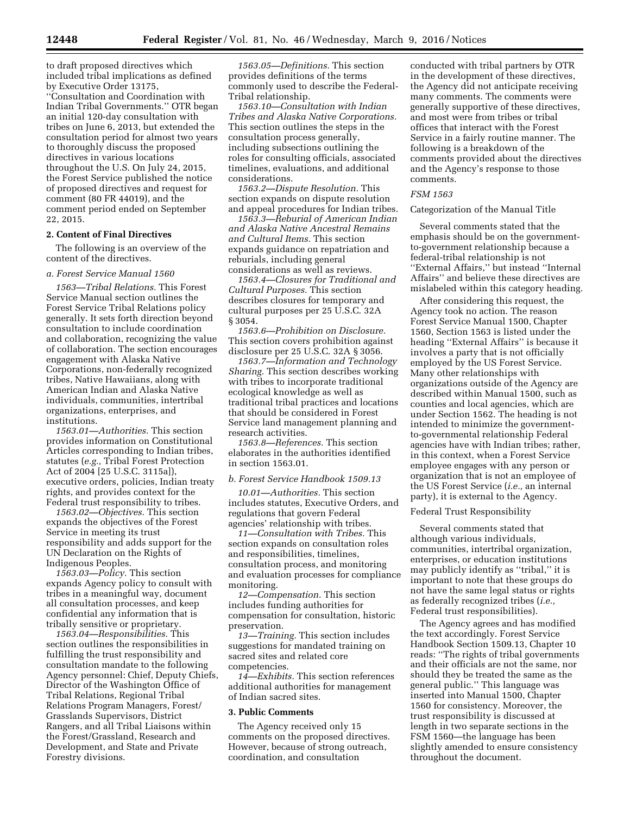to draft proposed directives which included tribal implications as defined by Executive Order 13175, ''Consultation and Coordination with Indian Tribal Governments.'' OTR began an initial 120-day consultation with tribes on June 6, 2013, but extended the consultation period for almost two years to thoroughly discuss the proposed directives in various locations throughout the U.S. On July 24, 2015, the Forest Service published the notice of proposed directives and request for comment (80 FR 44019), and the comment period ended on September 22, 2015.

#### **2. Content of Final Directives**

The following is an overview of the content of the directives.

## *a. Forest Service Manual 1560*

*1563—Tribal Relations.* This Forest Service Manual section outlines the Forest Service Tribal Relations policy generally. It sets forth direction beyond consultation to include coordination and collaboration, recognizing the value of collaboration. The section encourages engagement with Alaska Native Corporations, non-federally recognized tribes, Native Hawaiians, along with American Indian and Alaska Native individuals, communities, intertribal organizations, enterprises, and institutions.

*1563.01—Authorities.* This section provides information on Constitutional Articles corresponding to Indian tribes, statutes (*e.g.,* Tribal Forest Protection Act of 2004 [25 U.S.C. 3115a]), executive orders, policies, Indian treaty rights, and provides context for the Federal trust responsibility to tribes.

*1563.02—Objectives.* This section expands the objectives of the Forest Service in meeting its trust responsibility and adds support for the UN Declaration on the Rights of Indigenous Peoples.

*1563.03—Policy.* This section expands Agency policy to consult with tribes in a meaningful way, document all consultation processes, and keep confidential any information that is tribally sensitive or proprietary.

*1563.04—Responsibilities.* This section outlines the responsibilities in fulfilling the trust responsibility and consultation mandate to the following Agency personnel: Chief, Deputy Chiefs, Director of the Washington Office of Tribal Relations, Regional Tribal Relations Program Managers, Forest/ Grasslands Supervisors, District Rangers, and all Tribal Liaisons within the Forest/Grassland, Research and Development, and State and Private Forestry divisions.

*1563.05—Definitions.* This section provides definitions of the terms commonly used to describe the Federal-Tribal relationship.

*1563.10—Consultation with Indian Tribes and Alaska Native Corporations.*  This section outlines the steps in the consultation process generally, including subsections outlining the roles for consulting officials, associated timelines, evaluations, and additional considerations.

*1563.2—Dispute Resolution.* This section expands on dispute resolution and appeal procedures for Indian tribes.

*1563.3—Reburial of American Indian and Alaska Native Ancestral Remains and Cultural Items.* This section expands guidance on repatriation and reburials, including general considerations as well as reviews.

*1563.4—Closures for Traditional and Cultural Purposes.* This section describes closures for temporary and cultural purposes per 25 U.S.C. 32A § 3054.

*1563.6—Prohibition on Disclosure.*  This section covers prohibition against disclosure per 25 U.S.C. 32A § 3056.

*1563.7—Information and Technology Sharing.* This section describes working with tribes to incorporate traditional ecological knowledge as well as traditional tribal practices and locations that should be considered in Forest Service land management planning and research activities.

*1563.8—References.* This section elaborates in the authorities identified in section 1563.01.

#### *b. Forest Service Handbook 1509.13*

*10.01—Authorities.* This section includes statutes, Executive Orders, and regulations that govern Federal agencies' relationship with tribes.

*11—Consultation with Tribes.* This section expands on consultation roles and responsibilities, timelines, consultation process, and monitoring and evaluation processes for compliance monitoring.

*12—Compensation.* This section includes funding authorities for compensation for consultation, historic preservation.

*13—Training.* This section includes suggestions for mandated training on sacred sites and related core competencies.

*14—Exhibits.* This section references additional authorities for management of Indian sacred sites.

#### **3. Public Comments**

The Agency received only 15 comments on the proposed directives. However, because of strong outreach, coordination, and consultation

conducted with tribal partners by OTR in the development of these directives, the Agency did not anticipate receiving many comments. The comments were generally supportive of these directives, and most were from tribes or tribal offices that interact with the Forest Service in a fairly routine manner. The following is a breakdown of the comments provided about the directives and the Agency's response to those comments.

#### *FSM 1563*

# Categorization of the Manual Title

Several comments stated that the emphasis should be on the governmentto-government relationship because a federal-tribal relationship is not ''External Affairs,'' but instead ''Internal Affairs'' and believe these directives are mislabeled within this category heading.

After considering this request, the Agency took no action. The reason Forest Service Manual 1500, Chapter 1560, Section 1563 is listed under the heading ''External Affairs'' is because it involves a party that is not officially employed by the US Forest Service. Many other relationships with organizations outside of the Agency are described within Manual 1500, such as counties and local agencies, which are under Section 1562. The heading is not intended to minimize the governmentto-governmental relationship Federal agencies have with Indian tribes; rather, in this context, when a Forest Service employee engages with any person or organization that is not an employee of the US Forest Service (*i.e.,* an internal party), it is external to the Agency.

#### Federal Trust Responsibility

Several comments stated that although various individuals, communities, intertribal organization, enterprises, or education institutions may publicly identify as ''tribal,'' it is important to note that these groups do not have the same legal status or rights as federally recognized tribes (*i.e.,*  Federal trust responsibilities).

The Agency agrees and has modified the text accordingly. Forest Service Handbook Section 1509.13, Chapter 10 reads: ''The rights of tribal governments and their officials are not the same, nor should they be treated the same as the general public.'' This language was inserted into Manual 1500, Chapter 1560 for consistency. Moreover, the trust responsibility is discussed at length in two separate sections in the FSM 1560—the language has been slightly amended to ensure consistency throughout the document.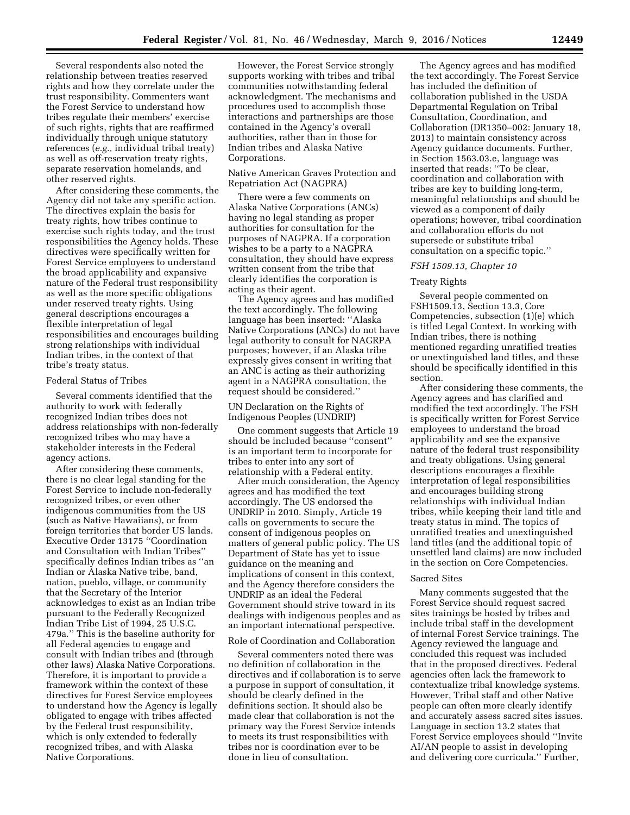Several respondents also noted the relationship between treaties reserved rights and how they correlate under the trust responsibility. Commenters want the Forest Service to understand how tribes regulate their members' exercise of such rights, rights that are reaffirmed individually through unique statutory references (*e.g.,* individual tribal treaty) as well as off-reservation treaty rights, separate reservation homelands, and other reserved rights.

After considering these comments, the Agency did not take any specific action. The directives explain the basis for treaty rights, how tribes continue to exercise such rights today, and the trust responsibilities the Agency holds. These directives were specifically written for Forest Service employees to understand the broad applicability and expansive nature of the Federal trust responsibility as well as the more specific obligations under reserved treaty rights. Using general descriptions encourages a flexible interpretation of legal responsibilities and encourages building strong relationships with individual Indian tribes, in the context of that tribe's treaty status.

#### Federal Status of Tribes

Several comments identified that the authority to work with federally recognized Indian tribes does not address relationships with non-federally recognized tribes who may have a stakeholder interests in the Federal agency actions.

After considering these comments, there is no clear legal standing for the Forest Service to include non-federally recognized tribes, or even other indigenous communities from the US (such as Native Hawaiians), or from foreign territories that border US lands. Executive Order 13175 ''Coordination and Consultation with Indian Tribes'' specifically defines Indian tribes as ''an Indian or Alaska Native tribe, band, nation, pueblo, village, or community that the Secretary of the Interior acknowledges to exist as an Indian tribe pursuant to the Federally Recognized Indian Tribe List of 1994, 25 U.S.C. 479a.'' This is the baseline authority for all Federal agencies to engage and consult with Indian tribes and (through other laws) Alaska Native Corporations. Therefore, it is important to provide a framework within the context of these directives for Forest Service employees to understand how the Agency is legally obligated to engage with tribes affected by the Federal trust responsibility, which is only extended to federally recognized tribes, and with Alaska Native Corporations.

However, the Forest Service strongly supports working with tribes and tribal communities notwithstanding federal acknowledgment. The mechanisms and procedures used to accomplish those interactions and partnerships are those contained in the Agency's overall authorities, rather than in those for Indian tribes and Alaska Native Corporations.

# Native American Graves Protection and Repatriation Act (NAGPRA)

There were a few comments on Alaska Native Corporations (ANCs) having no legal standing as proper authorities for consultation for the purposes of NAGPRA. If a corporation wishes to be a party to a NAGPRA consultation, they should have express written consent from the tribe that clearly identifies the corporation is acting as their agent.

The Agency agrees and has modified the text accordingly. The following language has been inserted: ''Alaska Native Corporations (ANCs) do not have legal authority to consult for NAGRPA purposes; however, if an Alaska tribe expressly gives consent in writing that an ANC is acting as their authorizing agent in a NAGPRA consultation, the request should be considered.''

# UN Declaration on the Rights of Indigenous Peoples (UNDRIP)

One comment suggests that Article 19 should be included because ''consent'' is an important term to incorporate for tribes to enter into any sort of relationship with a Federal entity.

After much consideration, the Agency agrees and has modified the text accordingly. The US endorsed the UNDRIP in 2010. Simply, Article 19 calls on governments to secure the consent of indigenous peoples on matters of general public policy. The US Department of State has yet to issue guidance on the meaning and implications of consent in this context, and the Agency therefore considers the UNDRIP as an ideal the Federal Government should strive toward in its dealings with indigenous peoples and as an important international perspective.

# Role of Coordination and Collaboration

Several commenters noted there was no definition of collaboration in the directives and if collaboration is to serve a purpose in support of consultation, it should be clearly defined in the definitions section. It should also be made clear that collaboration is not the primary way the Forest Service intends to meets its trust responsibilities with tribes nor is coordination ever to be done in lieu of consultation.

The Agency agrees and has modified the text accordingly. The Forest Service has included the definition of collaboration published in the USDA Departmental Regulation on Tribal Consultation, Coordination, and Collaboration (DR1350–002: January 18, 2013) to maintain consistency across Agency guidance documents. Further, in Section 1563.03.e, language was inserted that reads: ''To be clear, coordination and collaboration with tribes are key to building long-term, meaningful relationships and should be viewed as a component of daily operations; however, tribal coordination and collaboration efforts do not supersede or substitute tribal consultation on a specific topic.''

## *FSH 1509.13, Chapter 10*

#### Treaty Rights

Several people commented on FSH1509.13, Section 13.3, Core Competencies, subsection (1)(e) which is titled Legal Context. In working with Indian tribes, there is nothing mentioned regarding unratified treaties or unextinguished land titles, and these should be specifically identified in this section.

After considering these comments, the Agency agrees and has clarified and modified the text accordingly. The FSH is specifically written for Forest Service employees to understand the broad applicability and see the expansive nature of the federal trust responsibility and treaty obligations. Using general descriptions encourages a flexible interpretation of legal responsibilities and encourages building strong relationships with individual Indian tribes, while keeping their land title and treaty status in mind. The topics of unratified treaties and unextinguished land titles (and the additional topic of unsettled land claims) are now included in the section on Core Competencies.

## Sacred Sites

Many comments suggested that the Forest Service should request sacred sites trainings be hosted by tribes and include tribal staff in the development of internal Forest Service trainings. The Agency reviewed the language and concluded this request was included that in the proposed directives. Federal agencies often lack the framework to contextualize tribal knowledge systems. However, Tribal staff and other Native people can often more clearly identify and accurately assess sacred sites issues. Language in section 13.2 states that Forest Service employees should ''Invite AI/AN people to assist in developing and delivering core curricula.'' Further,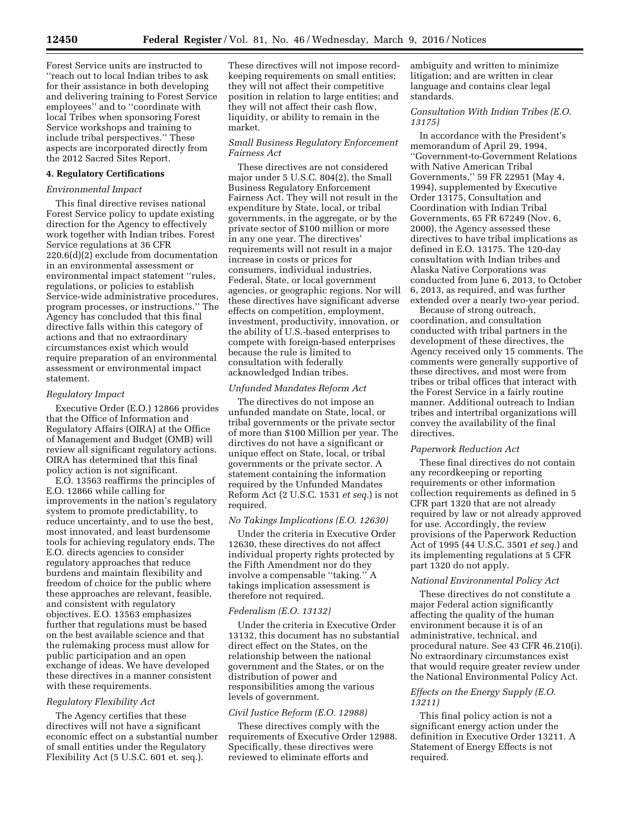Forest Service units are instructed to ''reach out to local Indian tribes to ask for their assistance in both developing and delivering training to Forest Service employees'' and to ''coordinate with local Tribes when sponsoring Forest Service workshops and training to include tribal perspectives.'' These aspects are incorporated directly from the 2012 Sacred Sites Report.

## **4. Regulatory Certifications**

#### *Environmental Impact*

This final directive revises national Forest Service policy to update existing direction for the Agency to effectively work together with Indian tribes. Forest Service regulations at 36 CFR 220.6(d)(2) exclude from documentation in an environmental assessment or environmental impact statement ''rules, regulations, or policies to establish Service-wide administrative procedures, program processes, or instructions.'' The Agency has concluded that this final directive falls within this category of actions and that no extraordinary circumstances exist which would require preparation of an environmental assessment or environmental impact statement.

### *Regulatory Impact*

Executive Order (E.O.) 12866 provides that the Office of Information and Regulatory Affairs (OIRA) at the Office of Management and Budget (OMB) will review all significant regulatory actions. OIRA has determined that this final policy action is not significant.

E.O. 13563 reaffirms the principles of E.O. 12866 while calling for improvements in the nation's regulatory system to promote predictability, to reduce uncertainty, and to use the best, most innovated, and least burdensome tools for achieving regulatory ends. The E.O. directs agencies to consider regulatory approaches that reduce burdens and maintain flexibility and freedom of choice for the public where these approaches are relevant, feasible, and consistent with regulatory objectives. E.O. 13563 emphasizes further that regulations must be based on the best available science and that the rulemaking process must allow for public participation and an open exchange of ideas. We have developed these directives in a manner consistent with these requirements.

## *Regulatory Flexibility Act*

The Agency certifies that these directives will not have a significant economic effect on a substantial number of small entities under the Regulatory Flexibility Act (5 U.S.C. 601 et. seq.).

These directives will not impose recordkeeping requirements on small entities; they will not affect their competitive position in relation to large entities; and they will not affect their cash flow, liquidity, or ability to remain in the market.

# *Small Business Regulatory Enforcement Fairness Act*

These directives are not considered major under 5 U.S.C. 804(2), the Small Business Regulatory Enforcement Fairness Act. They will not result in the expenditure by State, local, or tribal governments, in the aggregate, or by the private sector of \$100 million or more in any one year. The directives' requirements will not result in a major increase in costs or prices for consumers, individual industries, Federal, State, or local government agencies, or geographic regions. Nor will these directives have significant adverse effects on competition, employment, investment, productivity, innovation, or the ability of U.S.-based enterprises to compete with foreign-based enterprises because the rule is limited to consultation with federally acknowledged Indian tribes.

#### *Unfunded Mandates Reform Act*

The directives do not impose an unfunded mandate on State, local, or tribal governments or the private sector of more than \$100 Million per year. The dirctives do not have a significant or unique effect on State, local, or tribal governments or the private sector. A statement containing the information required by the Unfunded Mandates Reform Act (2 U.S.C. 1531 *et seq.*) is not required.

## *No Takings Implications (E.O. 12630)*

Under the criteria in Executive Order 12630, these directives do not affect individual property rights protected by the Fifth Amendment nor do they involve a compensable ''taking.'' A takings implication assessment is therefore not required.

#### *Federalism (E.O. 13132)*

Under the criteria in Executive Order 13132, this document has no substantial direct effect on the States, on the relationship between the national government and the States, or on the distribution of power and responsibilities among the various levels of government.

### *Civil Justice Reform (E.O. 12988)*

These directives comply with the requirements of Executive Order 12988. Specifically, these directives were reviewed to eliminate efforts and

ambiguity and written to minimize litigation; and are written in clear language and contains clear legal standards.

# *Consultation With Indian Tribes (E.O. 13175)*

In accordance with the President's memorandum of April 29, 1994, ''Government-to-Government Relations with Native American Tribal Governments,'' 59 FR 22951 (May 4, 1994), supplemented by Executive Order 13175, Consultation and Coordination with Indian Tribal Governments, 65 FR 67249 (Nov. 6, 2000), the Agency assessed these directives to have tribal implications as defined in E.O. 13175. The 120-day consultation with Indian tribes and Alaska Native Corporations was conducted from June 6, 2013, to October 6, 2013, as required, and was further extended over a nearly two-year period.

Because of strong outreach, coordination, and consultation conducted with tribal partners in the development of these directives, the Agency received only 15 comments. The comments were generally supportive of these directives, and most were from tribes or tribal offices that interact with the Forest Service in a fairly routine manner. Additional outreach to Indian tribes and intertribal organizations will convey the availability of the final directives.

### *Paperwork Reduction Act*

These final directives do not contain any recordkeeping or reporting requirements or other information collection requirements as defined in 5 CFR part 1320 that are not already required by law or not already approved for use. Accordingly, the review provisions of the Paperwork Reduction Act of 1995 (44 U.S.C. 3501 *et seq.*) and its implementing regulations at 5 CFR part 1320 do not apply.

## *National Environmental Policy Act*

These directives do not constitute a major Federal action significantly affecting the quality of the human environment because it is of an administrative, technical, and procedural nature. See 43 CFR 46.210(i). No extraordinary circumstances exist that would require greater review under the National Environmental Policy Act.

# *Effects on the Energy Supply (E.O. 13211)*

This final policy action is not a significant energy action under the definition in Executive Order 13211. A Statement of Energy Effects is not required.